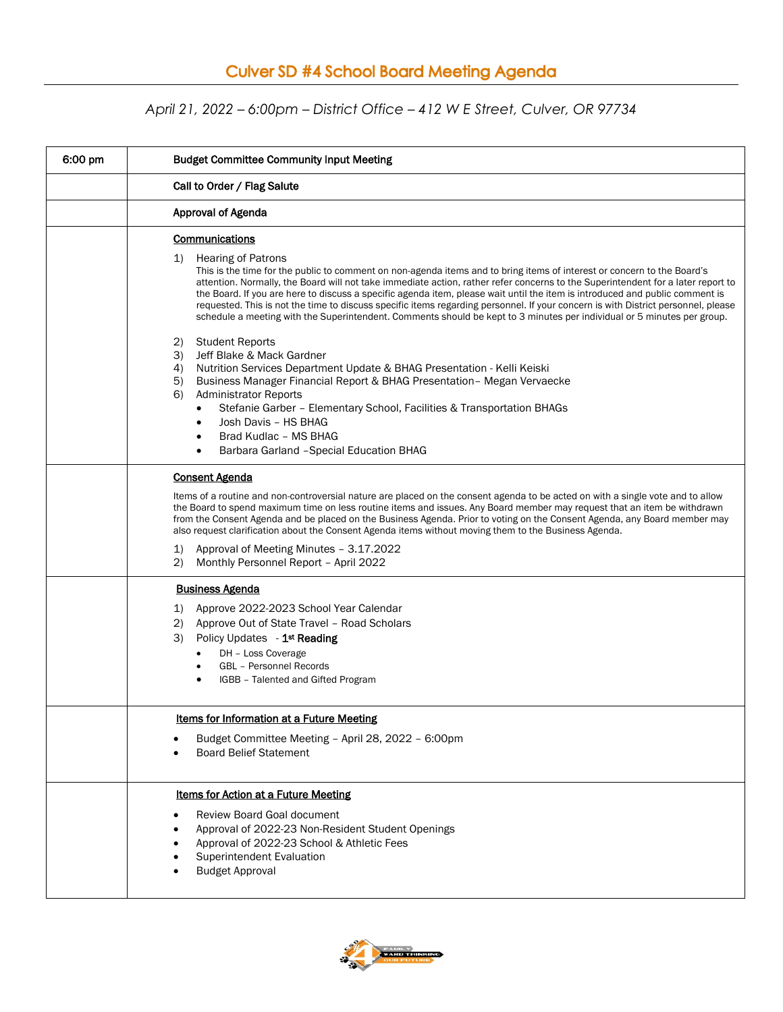## **Culver SD #4 School Board Meeting Agenda**

## *April 21, 2022 – 6:00pm – District Office – 412 W E Street, Culver, OR 97734*

| 6:00 pm | <b>Budget Committee Community Input Meeting</b>                                                                                                                                                                                                                                                                                                                                                                                                                                                                                                                                                                                                                                                                         |
|---------|-------------------------------------------------------------------------------------------------------------------------------------------------------------------------------------------------------------------------------------------------------------------------------------------------------------------------------------------------------------------------------------------------------------------------------------------------------------------------------------------------------------------------------------------------------------------------------------------------------------------------------------------------------------------------------------------------------------------------|
|         | Call to Order / Flag Salute                                                                                                                                                                                                                                                                                                                                                                                                                                                                                                                                                                                                                                                                                             |
|         | <b>Approval of Agenda</b>                                                                                                                                                                                                                                                                                                                                                                                                                                                                                                                                                                                                                                                                                               |
|         | <b>Communications</b><br>1)<br><b>Hearing of Patrons</b><br>This is the time for the public to comment on non-agenda items and to bring items of interest or concern to the Board's<br>attention. Normally, the Board will not take immediate action, rather refer concerns to the Superintendent for a later report to<br>the Board. If you are here to discuss a specific agenda item, please wait until the item is introduced and public comment is<br>requested. This is not the time to discuss specific items regarding personnel. If your concern is with District personnel, please<br>schedule a meeting with the Superintendent. Comments should be kept to 3 minutes per individual or 5 minutes per group. |
|         | <b>Student Reports</b><br>2)<br>3)<br>Jeff Blake & Mack Gardner<br>4)<br>Nutrition Services Department Update & BHAG Presentation - Kelli Keiski<br>5)<br>Business Manager Financial Report & BHAG Presentation - Megan Vervaecke<br>6)<br><b>Administrator Reports</b><br>Stefanie Garber - Elementary School, Facilities & Transportation BHAGs<br>$\bullet$<br>Josh Davis - HS BHAG<br>Brad Kudlac - MS BHAG<br>Barbara Garland - Special Education BHAG<br>٠                                                                                                                                                                                                                                                        |
|         | <b>Consent Agenda</b><br>Items of a routine and non-controversial nature are placed on the consent agenda to be acted on with a single vote and to allow<br>the Board to spend maximum time on less routine items and issues. Any Board member may request that an item be withdrawn<br>from the Consent Agenda and be placed on the Business Agenda. Prior to voting on the Consent Agenda, any Board member may<br>also request clarification about the Consent Agenda items without moving them to the Business Agenda.<br>Approval of Meeting Minutes - 3.17.2022<br>1)<br>(2)<br>Monthly Personnel Report - April 2022                                                                                             |
|         | <b>Business Agenda</b><br>Approve 2022-2023 School Year Calendar<br>1)<br>Approve Out of State Travel - Road Scholars<br>(2)<br>3)<br>Policy Updates - 1 <sup>st</sup> Reading<br>DH - Loss Coverage<br><b>GBL</b> - Personnel Records<br>IGBB - Talented and Gifted Program                                                                                                                                                                                                                                                                                                                                                                                                                                            |
|         | Items for Information at a Future Meeting<br>Budget Committee Meeting - April 28, 2022 - 6:00pm<br><b>Board Belief Statement</b>                                                                                                                                                                                                                                                                                                                                                                                                                                                                                                                                                                                        |
|         | <b>Items for Action at a Future Meeting</b><br>Review Board Goal document<br>Approval of 2022-23 Non-Resident Student Openings<br>Approval of 2022-23 School & Athletic Fees<br><b>Superintendent Evaluation</b><br><b>Budget Approval</b>                                                                                                                                                                                                                                                                                                                                                                                                                                                                              |